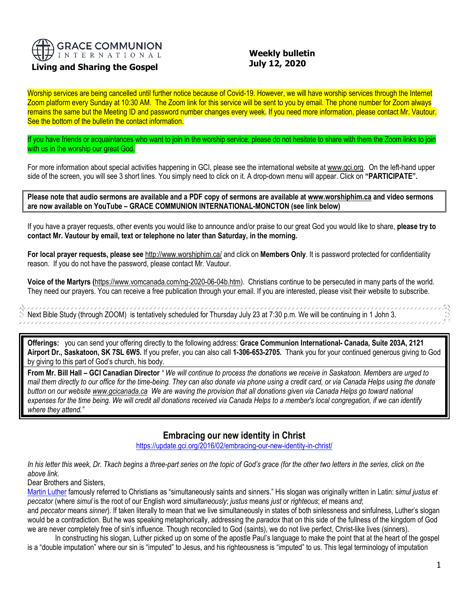

# **Living and Sharing the Gospel**

## **Weekly bulletin July 12, 2020**

Worship services are being cancelled until further notice because of Covid-19. However, we will have worship services through the Internet Zoom platform every Sunday at 10:30 AM. The Zoom link for this service will be sent to you by email. The phone number for Zoom always remains the same but the Meeting ID and password number changes every week. If you need more information, please contact Mr. Vautour. See the bottom of the bulletin the contact information.

If you have friends or acquaintances who want to join in the worship service, please do not hesitate to share with them the Zoom links to join with us in the worship our great God.

For more information about special activities happening in GCI, please see the international website a[t www.gci.org.](http://www.gci.org/) On the left-hand upper side of the screen, you will see 3 short lines. You simply need to click on it. A drop-down menu will appear. Click on **"PARTICIPATE".** 

**Please note that audio sermons are available and a PDF copy of sermons are available at [www.worshiphim.ca](http://www.worshiphim.ca/) and video sermons are now available on YouTube – GRACE COMMUNION INTERNATIONAL-MONCTON (see link below)**

If you have a prayer requests, other events you would like to announce and/or praise to our great God you would like to share, **please try to contact Mr. Vautour by email, text or telephone no later than Saturday, in the morning.**

**For local prayer requests, please see** <http://www.worshiphim.ca/> and click on **Members Only**. It is password protected for confidentiality reason. If you do not have the password, please contact Mr. Vautour.

**Voice of the Martyrs (**[https://www.vomcanada.com/ng-2020-06-04b.htm\)](https://www.vomcanada.com/ng-2020-06-04b.htm). Christians continue to be persecuted in many parts of the world. They need our prayers. You can receive a free publication through your email. If you are interested, please visit their website to subscribe.

,,,,,,,,,,,,,,,,,,,,,,,,,,,,,,,,,,,,,, Next Bible Study (through ZOOM) is tentatively scheduled for Thursday July 23 at 7:30 p.m. We will be continuing in 1 John 3. 

**Offerings:** you can send your offering directly to the following address: **Grace Communion International- Canada, Suite 203A, 2121 Airport Dr., Saskatoon, SK 7SL 6W5.** If you prefer, you can also call **1-306-653-2705.** Thank you for your continued generous giving to God by giving to this part of God's church, his body.

**From Mr. Bill Hall – GCI Canadian Director** *" We will continue to process the donations we receive in Saskatoon. Members are urged to mail them directly to our office for the time-being. They can also donate via phone using a credit card, or via Canada Helps using the donate button on our websit[e www.gcicanada.ca](https://eur03.safelinks.protection.outlook.com/?url=http%3A%2F%2Fwww.gcicanada.ca%2F&data=02%7C01%7C%7C9fd93e29c2b44509e5a008d7caa78fdb%7C84df9e7fe9f640afb435aaaaaaaaaaaa%7C1%7C0%7C637200693331983394&sdata=VAGy4Q%2BxbhHuYaeEiDz%2FQyicT%2FoiY4Ir9kc8w5yHRPs%3D&reserved=0) We are waving the provision that all donations given via Canada Helps go toward national expenses for the time being. We will credit all donations received via Canada Helps to a member's local congregation, if we can identify where they attend."*

# **Embracing our new identity in Christ**

<https://update.gci.org/2016/02/embracing-our-new-identity-in-christ/>

In his letter this week, Dr. Tkach begins a three-part series on the topic of God's grace (for the other two letters in the series, click on the *above link.*

Dear Brothers and Sisters,

[Martin Luther](https://en.wikipedia.org/wiki/Martin_Luther) famously referred to Christians as "simultaneously saints and sinners." His slogan was originally written in Latin: s*imul justus et peccator* (where *simul* is the root of our English word *simultaneously*; *justus* means *just* or *righteous*; *et* means *and*;

and *peccator* means *sinner*). If taken literally to mean that we live simultaneously in states of both sinlessness and sinfulness, Luther's slogan would be a contradiction. But he was speaking metaphorically, addressing the *paradox* that on this side of the fullness of the kingdom of God we are never completely free of sin's influence. Though reconciled to God (saints), we do not live perfect, Christ-like lives (sinners).

In constructing his slogan, Luther picked up on some of the apostle Paul's language to make the point that at the heart of the gospel is a "double imputation" where our sin is "imputed" to Jesus, and his righteousness is "imputed" to us. This legal terminology of imputation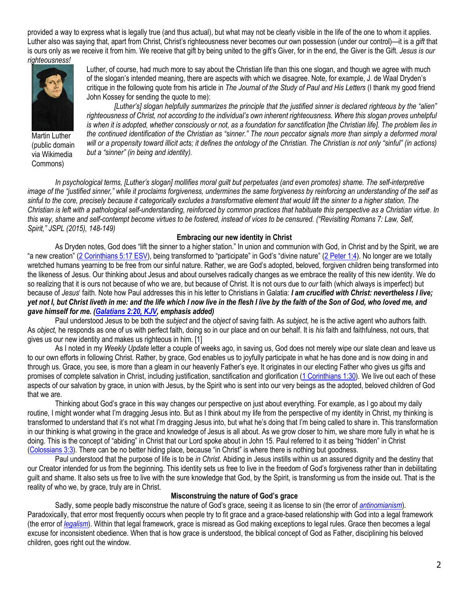provided a way to express what is legally true (and thus actual), but what may not be clearly visible in the life of the one to whom it applies. Luther also was saying that, apart from Christ, Christ's righteousness never becomes our own possession (under our control)—it is a *gift* that is ours only as we receive it from him. We receive that gift by being united to the gift's Giver, for in the end, the Giver is the Gift. *Jesus is our righteousness!*



Martin Luther (public domain via Wikimedia Commons)

Luther, of course, had much more to say about the Christian life than this one slogan, and though we agree with much of the slogan's intended meaning, there are aspects with which we disagree. Note, for example, J. de Waal Dryden's critique in the following quote from his article in *The Journal of the Study of Paul and His Letters* (I thank my good friend John Kossey for sending the quote to me):

*[Luther's] slogan helpfully summarizes the principle that the justified sinner is declared righteous by the "alien"*  righteousness of Christ, not according to the individual's own inherent righteousness. Where this slogan proves unhelpful *is when it is adopted, whether consciously or not, as a foundation for sanctification [the Christian life]. The problem lies in the continued identification of the Christian as "sinner." The noun peccator signals more than simply a deformed moral will or a propensity toward illicit acts; it defines the ontology of the Christian. The Christian is not only "sinful" (in actions) but a "sinner" (in being and identity).*

*In psychological terms, [Luther's slogan] mollifies moral guilt but perpetuates (and even promotes) shame. The self-interpretive image of the "justified sinner," while it proclaims forgiveness, undermines the same forgiveness by reinforcing an understanding of the self as sinful to the core, precisely because it categorically excludes a transformative element that would lift the sinner to a higher station. The Christian is left with a pathological self-understanding, reinforced by common practices that habituate this perspective as a Christian virtue. In this way, shame and self-contempt become virtues to be fostered, instead of vices to be censured. ("Revisiting Romans 7: Law, Self, Spirit," JSPL (2015), 148-149)*

#### **Embracing our new identity in Christ**

As Dryden notes, God does "lift the sinner to a higher station." In union and communion with God, in Christ and by the Spirit, we are "a new creation" ([2 Corinthians 5:17 ESV](https://biblia.com/bible/esv/2%20Cor%205.17)), being transformed to "participate" in God's "divine nature" ([2 Peter 1:4\)](https://biblia.com/bible/niv/2%20Pet%201.4). No longer are we totally wretched humans yearning to be free from our sinful nature. Rather, we are God's adopted, beloved, forgiven children being transformed into the likeness of Jesus. Our thinking about Jesus and about ourselves radically changes as we embrace the reality of this new identity. We do so realizing that it is ours not because of who we are, but because of Christ. It is not ours due to *our* faith (which always is imperfect) but because of *Jesus*' faith. Note how Paul addresses this in his letter to Christians in Galatia: *I am crucified with Christ: nevertheless I live; yet not I, but Christ liveth in me: and the life which I now live in the flesh I live by the faith of the Son of God, who loved me, and gave himself for me. [\(Galatians 2:20, KJV,](https://biblia.com/bible/kjv1900/Gal%202.20) emphasis added)*

Paul understood Jesus to be both the *subject* and the *object* of saving faith. As *subject,* he is the active agent who authors faith. As *object,* he responds as one of us with perfect faith, doing so in our place and on our behalf. It is *his* faith and faithfulness, not ours, that gives us our new identity and makes us righteous in him. [1]

As I noted in my *Weekly Update* letter a couple of weeks ago, in saving us, God does not merely wipe our slate clean and leave us to our own efforts in following Christ. Rather, by grace, God enables us to joyfully participate in what he has done and is now doing in and through us. Grace, you see, is more than a gleam in our heavenly Father's eye. It originates in our electing Father who gives us gifts and promises of complete salvation in Christ, including justification, sanctification and glorification [\(1 Corinthians 1:30\)](https://biblia.com/bible/niv/1%20Cor%201.30). We live out each of these aspects of our salvation by grace, in union with Jesus, by the Spirit who is sent into our very beings as the adopted, beloved children of God that we are.

Thinking about God's grace in this way changes our perspective on just about everything. For example, as I go about my daily routine, I might wonder what I'm dragging Jesus into. But as I think about my life from the perspective of my identity in Christ, my thinking is transformed to understand that it's not what I'm dragging Jesus into, but what he's doing that I'm being called to share in. This transformation in our thinking is what growing in the grace and knowledge of Jesus is all about. As we grow closer to him, we share more fully in what he is doing. This is the concept of "abiding" in Christ that our Lord spoke about in John 15. Paul referred to it as being "hidden" in Christ [\(Colossians 3:3\)](https://biblia.com/bible/niv/Col%203.3). There can be no better hiding place, because "in Christ" is where there is nothing but goodness.

Paul understood that the purpose of life is to be *in Christ.* Abiding in Jesus instills within us an assured dignity and the destiny that our Creator intended for us from the beginning. This identity sets us free to live in the freedom of God's forgiveness rather than in debilitating guilt and shame. It also sets us free to live with the sure knowledge that God, by the Spirit, is transforming us from the inside out. That is the reality of who we, by grace, truly are in Christ.

#### **Misconstruing the nature of God's grace**

Sadly, some people badly misconstrue the nature of God's grace, seeing it as license to sin (the error of *[antinomianism](http://www.theopedia.com/antinomianism)*). Paradoxically, that error most frequently occurs when people try to fit grace and a grace-based relationship with God into a legal framework (the error of *[legalism](http://www.theopedia.com/legalism)*). Within that legal framework, grace is misread as God making exceptions to legal rules. Grace then becomes a legal excuse for inconsistent obedience. When that is how grace is understood, the biblical concept of God as Father, disciplining his beloved children, goes right out the window.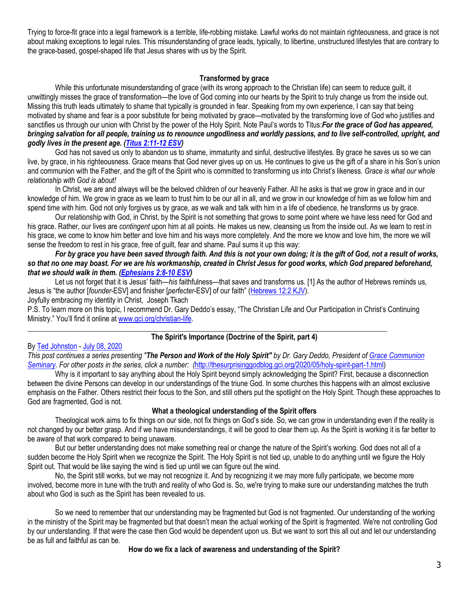Trying to force-fit grace into a legal framework is a terrible, life-robbing mistake. Lawful works do not maintain righteousness, and grace is not about making exceptions to legal rules. This misunderstanding of grace leads, typically, to libertine, unstructured lifestyles that are contrary to the grace-based, gospel-shaped life that Jesus shares with us by the Spirit.

## **Transformed by grace**

While this unfortunate misunderstanding of grace (with its wrong approach to the Christian life) can seem to reduce guilt, it unwittingly misses the grace of transformation—the love of God coming into our hearts by the Spirit to truly change us from the inside out. Missing this truth leads ultimately to shame that typically is grounded in fear. Speaking from my own experience, I can say that being motivated by shame and fear is a poor substitute for being motivated by grace—motivated by the transforming love of God who justifies and sanctifies us through our union with Christ by the power of the Holy Spirit. Note Paul's words to Titus:*For the grace of God has appeared, bringing salvation for all people, training us to renounce ungodliness and worldly passions, and to live self-controlled, upright, and godly lives in the present age. [\(Titus 2:11-12 ESV\)](https://biblia.com/bible/esv/Titus%202.11-12)*

God has not saved us only to abandon us to shame, immaturity and sinful, destructive lifestyles. By grace he saves us so we can live, by grace, in his righteousness. Grace means that God never gives up on us. He continues to give us the gift of a share in his Son's union and communion with the Father, and the gift of the Spirit who is committed to transforming us into Christ's likeness. *Grace is what our whole relationship with God is about!*

In Christ, we are and always will be the beloved children of our heavenly Father. All he asks is that we grow in grace and in our knowledge of him. We grow in grace as we learn to trust him to be our all in all, and we grow in our knowledge of him as we follow him and spend time with him. God not only forgives us by grace, as we walk and talk with him in a life of obedience, he transforms us by grace.

Our relationship with God, in Christ, by the Spirit is not something that grows to some point where we have less need for God and his grace. Rather, our lives are *contingent* upon him at all points. He makes us new, cleansing us from the inside out. As we learn to rest in his grace, we come to know him better and love him and his ways more completely. And the more we know and love him, the more we will sense the freedom to rest in his grace, free of guilt, fear and shame. Paul sums it up this way:

*For by grace you have been saved through faith. And this is not your own doing; it is the gift of God, not a result of works, so that no one may boast. For we are his workmanship, created in Christ Jesus for good works, which God prepared beforehand, that we should walk in them. [\(Ephesians 2:8-10 ESV\)](https://biblia.com/bible/esv/Eph%202.8-10)*

Let us not forget that it is Jesus' faith—*his* faithfulness—that saves and transforms us. [1] As the author of Hebrews reminds us, Jesus is "the author [*founder*-ESV] and finisher [*perfecter*-ESV] of our faith" ([Hebrews 12:2 KJV\)](https://biblia.com/bible/kjv1900/Heb%2012.2).

Joyfully embracing my identity in Christ, Joseph Tkach

P.S. To learn more on this topic, I recommend Dr. Gary Deddo's essay, "The Christian Life and Our Participation in Christ's Continuing Ministry." You'll find it online at [www.gci.org/christian-life.](http://www.gci.org/christian-life)

\_\_\_\_\_\_\_\_\_\_\_\_\_\_\_\_\_\_\_\_\_\_\_\_\_\_\_\_\_\_\_\_\_\_\_\_\_\_\_\_\_\_\_\_\_\_\_\_\_\_\_\_\_\_\_\_\_\_\_\_\_\_\_\_\_\_\_\_\_\_\_\_\_\_\_\_\_\_\_\_\_\_\_\_\_\_\_\_\_\_\_\_\_\_\_\_\_\_

## **The Spirit's Importance (Doctrine of the Spirit, part 4)**

## By [Ted Johnston](https://www.blogger.com/profile/08677739021765621811) - [July 08, 2020](http://thesurprisinggodblog.gci.org/2020/07/holy-spirit-part-4.html)

*This post continues a series presenting "The Person and Work of the Holy Spirit" by Dr. Gary Deddo, President of [Grace Communion](https://www.gcs.edu/)  [Seminary.](https://www.gcs.edu/) For other posts in the series, click a number: (*[http://thesurprisinggodblog.gci.org/2020/05/holy-spirit-part-1.html\)](http://thesurprisinggodblog.gci.org/2020/05/holy-spirit-part-1.html)

Why is it important to say anything about the Holy Spirit beyond simply acknowledging the Spirit? First, because a disconnection between the divine Persons can develop in our understandings of the triune God. In some churches this happens with an almost exclusive emphasis on the Father. Others restrict their focus to the Son, and still others put the spotlight on the Holy Spirit. Though these approaches to God are fragmented, God is not.

## **What a theological understanding of the Spirit offers**

Theological work aims to fix things on our side, not fix things on God's side. So, we can grow in understanding even if the reality is not changed by our better grasp. And if we have misunderstandings, it will be good to clear them up. As the Spirit is working it is far better to be aware of that work compared to being unaware.

But our better understanding does not make something real or change the nature of the Spirit's working. God does not all of a sudden become the Holy Spirit when we recognize the Spirit. The Holy Spirit is not tied up, unable to do anything until we figure the Holy Spirit out. That would be like saying the wind is tied up until we can figure out the wind.

No, the Spirit still works, but we may not recognize it. And by recognizing it we may more fully participate, we become more involved, become more in tune with the truth and reality of who God is. So, we're trying to make sure our understanding matches the truth about who God is such as the Spirit has been revealed to us.

So we need to remember that our understanding may be fragmented but God is not fragmented. Our understanding of the working in the ministry of the Spirit may be fragmented but that doesn't mean the actual working of the Spirit is fragmented. We're not controlling God by our understanding. If that were the case then God would be dependent upon us. But we want to sort this all out and let our understanding be as full and faithful as can be.

## **How do we fix a lack of awareness and understanding of the Spirit?**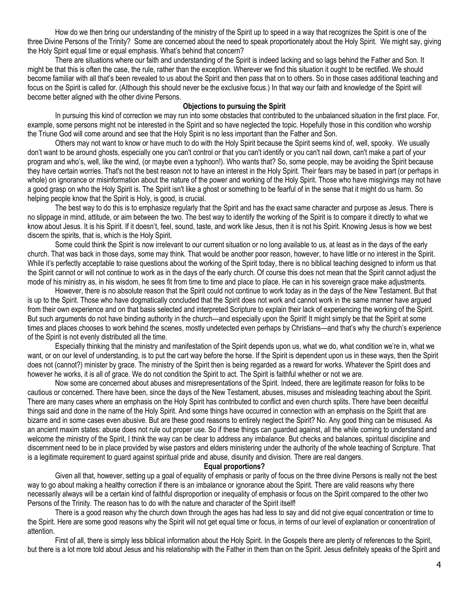How do we then bring our understanding of the ministry of the Spirit up to speed in a way that recognizes the Spirit is one of the three Divine Persons of the Trinity? Some are concerned about the need to speak proportionately about the Holy Spirit. We might say, giving the Holy Spirit equal time or equal emphasis. What's behind that concern?

There are situations where our faith and understanding of the Spirit is indeed lacking and so lags behind the Father and Son. It might be that this is often the case, the rule, rather than the exception. Wherever we find this situation it ought to be rectified. We should become familiar with all that's been revealed to us about the Spirit and then pass that on to others. So in those cases additional teaching and focus on the Spirit is called for. (Although this should never be the exclusive focus.) In that way our faith and knowledge of the Spirit will become better aligned with the other divine Persons.

#### **Objections to pursuing the Spirit**

In pursuing this kind of correction we may run into some obstacles that contributed to the unbalanced situation in the first place. For, example, some persons might not be interested in the Spirit and so have neglected the topic. Hopefully those in this condition who worship the Triune God will come around and see that the Holy Spirit is no less important than the Father and Son.

Others may not want to know or have much to do with the Holy Spirit because the Spirit seems kind of, well, spooky. We usually don't want to be around ghosts, especially one you can't control or that you can't identify or you can't nail down, can't make a part of your program and who's, well, like the wind, (or maybe even a typhoon!). Who wants that? So, some people, may be avoiding the Spirit because they have certain worries. That's not the best reason not to have an interest in the Holy Spirit. Their fears may be based in part (or perhaps in whole) on ignorance or misinformation about the nature of the power and working of the Holy Spirit. Those who have misgivings may not have a good grasp on who the Holy Spirit is. The Spirit isn't like a ghost or something to be fearful of in the sense that it might do us harm. So helping people know that the Spirit is Holy, is good, is crucial.

The best way to do this is to emphasize regularly that the Spirit and has the exact same character and purpose as Jesus. There is no slippage in mind, attitude, or aim between the two. The best way to identify the working of the Spirit is to compare it directly to what we know about Jesus. It is his Spirit. If it doesn't, feel, sound, taste, and work like Jesus, then it is not his Spirit. Knowing Jesus is how we best discern the spirits, that is, which is the Holy Spirit.

Some could think the Spirit is now irrelevant to our current situation or no long available to us, at least as in the days of the early church. That was back in those days, some may think. That would be another poor reason, however, to have little or no interest in the Spirit. While it's perfectly acceptable to raise questions about the working of the Spirit today, there is no biblical teaching designed to inform us that the Spirit cannot or will not continue to work as in the days of the early church. Of course this does not mean that the Spirit cannot adjust the mode of his ministry as, in his wisdom, he sees fit from time to time and place to place. He can in his sovereign grace make adjustments.

However, there is no absolute reason that the Spirit could not continue to work today as in the days of the New Testament. But that is up to the Spirit. Those who have dogmatically concluded that the Spirit does not work and cannot work in the same manner have argued from their own experience and on that basis selected and interpreted Scripture to explain their lack of experiencing the working of the Spirit. But such arguments do not have binding authority in the church—and especially upon the Spirit! It might simply be that the Spirit at some times and places chooses to work behind the scenes, mostly undetected even perhaps by Christians—and that's why the church's experience of the Spirit is not evenly distributed all the time.

Especially thinking that the ministry and manifestation of the Spirit depends upon us, what we do, what condition we're in, what we want, or on our level of understanding, is to put the cart way before the horse. If the Spirit is dependent upon us in these ways, then the Spirit does not (cannot?) minister by grace. The ministry of the Spirit then is being regarded as a reward for works. Whatever the Spirit does and however he works, it is all of grace. We do not condition the Spirit to act. The Spirit is faithful whether or not we are.

Now some are concerned about abuses and misrepresentations of the Spirit. Indeed, there are legitimate reason for folks to be cautious or concerned. There have been, since the days of the New Testament, abuses, misuses and misleading teaching about the Spirit. There are many cases where an emphasis on the Holy Spirit has contributed to conflict and even church splits. There have been deceitful things said and done in the name of the Holy Spirit. And some things have occurred in connection with an emphasis on the Spirit that are bizarre and in some cases even abusive. But are these good reasons to entirely neglect the Spirit? No. Any good thing can be misused. As an ancient maxim states: abuse does not rule out proper use. So if these things can guarded against, all the while coming to understand and welcome the ministry of the Spirit, I think the way can be clear to address any imbalance. But checks and balances, spiritual discipline and discernment need to be in place provided by wise pastors and elders ministering under the authority of the whole teaching of Scripture. That is a legitimate requirement to guard against spiritual pride and abuse, disunity and division. There are real dangers.

#### **Equal proportions?**

Given all that, however, setting up a goal of equality of emphasis or parity of focus on the three divine Persons is really not the best way to go about making a healthy correction if there is an imbalance or ignorance about the Spirit. There are valid reasons why there necessarily always will be a certain kind of faithful disproportion or inequality of emphasis or focus on the Spirit compared to the other two Persons of the Trinity. The reason has to do with the nature and character of the Spirit itself!

There is a good reason why the church down through the ages has had less to say and did not give equal concentration or time to the Spirit. Here are some good reasons why the Spirit will not get equal time or focus, in terms of our level of explanation or concentration of attention.

First of all, there is simply less biblical information about the Holy Spirit. In the Gospels there are plenty of references to the Spirit, but there is a lot more told about Jesus and his relationship with the Father in them than on the Spirit. Jesus definitely speaks of the Spirit and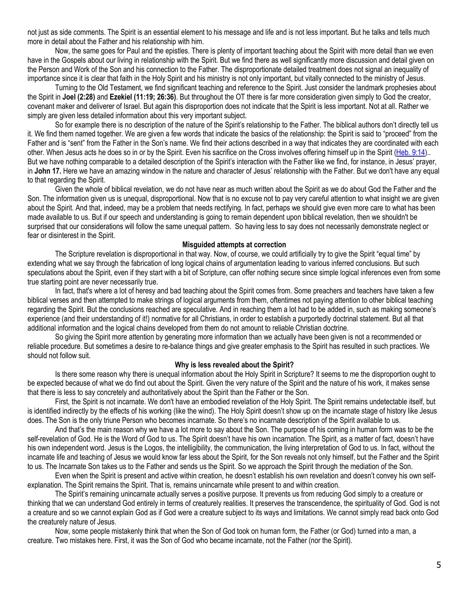not just as side comments. The Spirit is an essential element to his message and life and is not less important. But he talks and tells much more in detail about the Father and his relationship with him.

Now, the same goes for Paul and the epistles. There is plenty of important teaching about the Spirit with more detail than we even have in the Gospels about our living in relationship with the Spirit. But we find there as well significantly more discussion and detail given on the Person and Work of the Son and his connection to the Father. The disproportionate detailed treatment does not signal an inequality of importance since it is clear that faith in the Holy Spirit and his ministry is not only important, but vitally connected to the ministry of Jesus.

Turning to the Old Testament, we find significant teaching and reference to the Spirit. Just consider the landmark prophesies about the Spirit in **Joel (2:28)** and **Ezekiel (11:19; 26:36)**. But throughout the OT there is far more consideration given simply to God the creator, covenant maker and deliverer of Israel. But again this disproportion does not indicate that the Spirit is less important. Not at all. Rather we simply are given less detailed information about this very important subject.

So for example there is no description of the nature of the Spirit's relationship to the Father. The biblical authors don't directly tell us it. We find them named together. We are given a few words that indicate the basics of the relationship: the Spirit is said to "proceed" from the Father and is "sent" from the Father in the Son's name. We find their actions described in a way that indicates they are coordinated with each other. When Jesus acts he does so in or by the Spirit. Even his sacrifice on the Cross involves offering himself up in the Spirit [\(Heb. 9:14\)](https://biblia.com/bible/niv/Heb.%209.14).. But we have nothing comparable to a detailed description of the Spirit's interaction with the Father like we find, for instance, in Jesus' prayer, in **John 17.** Here we have an amazing window in the nature and character of Jesus' relationship with the Father. But we don't have any equal to that regarding the Spirit.

Given the whole of biblical revelation, we do not have near as much written about the Spirit as we do about God the Father and the Son. The information given us is unequal, disproportional. Now that is no excuse not to pay very careful attention to what insight we are given about the Spirit. And that, indeed, may be a problem that needs rectifying. In fact, perhaps we should give even more care to what has been made available to us. But if our speech and understanding is going to remain dependent upon biblical revelation, then we shouldn't be surprised that our considerations will follow the same unequal pattern. So having less to say does not necessarily demonstrate neglect or fear or disinterest in the Spirit.

#### **Misguided attempts at correction**

The Scripture revelation is disproportional in that way. Now, of course, we could artificially try to give the Spirit "equal time" by extending what we say through the fabrication of long logical chains of argumentation leading to various inferred conclusions. But such speculations about the Spirit, even if they start with a bit of Scripture, can offer nothing secure since simple logical inferences even from some true starting point are never necessarily true.

In fact, that's where a lot of heresy and bad teaching about the Spirit comes from. Some preachers and teachers have taken a few biblical verses and then attempted to make strings of logical arguments from them, oftentimes not paying attention to other biblical teaching regarding the Spirit. But the conclusions reached are speculative. And in reaching them a lot had to be added in, such as making someone's experience (and their understanding of it!) normative for all Christians, in order to establish a purportedly doctrinal statement. But all that additional information and the logical chains developed from them do not amount to reliable Christian doctrine.

So giving the Spirit more attention by generating more information than we actually have been given is not a recommended or reliable procedure. But sometimes a desire to re-balance things and give greater emphasis to the Spirit has resulted in such practices. We should not follow suit.

### **Why is less revealed about the Spirit?**

Is there some reason why there is unequal information about the Holy Spirit in Scripture? It seems to me the disproportion ought to be expected because of what we do find out about the Spirit. Given the very nature of the Spirit and the nature of his work, it makes sense that there is less to say concretely and authoritatively about the Spirit than the Father or the Son.

First, the Spirit is not incarnate. We don't have an embodied revelation of the Holy Spirit. The Spirit remains undetectable itself, but is identified indirectly by the effects of his working (like the wind). The Holy Spirit doesn't show up on the incarnate stage of history like Jesus does. The Son is the only triune Person who becomes incarnate. So there's no incarnate description of the Spirit available to us.

And that's the main reason why we have a lot more to say about the Son. The purpose of his coming in human form was to be the self-revelation of God. He is the Word of God to us. The Spirit doesn't have his own incarnation. The Spirit, as a matter of fact, doesn't have his own independent word. Jesus is the Logos, the intelligibility, the communication, the living interpretation of God to us. In fact, without the incarnate life and teaching of Jesus we would know far less about the Spirit, for the Son reveals not only himself, but the Father and the Spirit to us. The Incarnate Son takes us to the Father and sends us the Spirit. So we approach the Spirit through the mediation of the Son.

Even when the Spirit is present and active within creation, he doesn't establish his own revelation and doesn't convey his own selfexplanation. The Spirit remains the Spirit. That is, remains unincarnate while present to and within creation.

The Spirit's remaining unincarnate actually serves a positive purpose. It prevents us from reducing God simply to a creature or thinking that we can understand God entirely in terms of creaturely realities. It preserves the transcendence, the spirituality of God. God is not a creature and so we cannot explain God as if God were a creature subject to its ways and limitations. We cannot simply read back onto God the creaturely nature of Jesus.

Now, some people mistakenly think that when the Son of God took on human form, the Father (or God) turned into a man, a creature. Two mistakes here. First, it was the Son of God who became incarnate, not the Father (nor the Spirit).